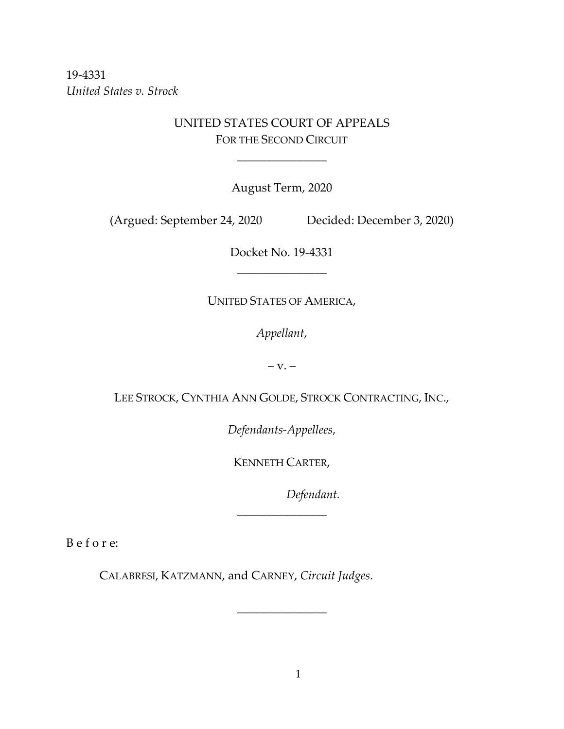19-4331 *United States v. Strock*

# UNITED STATES COURT OF APPEALS FOR THE SECOND CIRCUIT

\_\_\_\_\_\_\_\_\_\_\_\_\_\_\_

August Term, 2020

(Argued: September 24, 2020 Decided: December 3, 2020)

Docket No. 19-4331 \_\_\_\_\_\_\_\_\_\_\_\_\_\_\_

UNITED STATES OF AMERICA,

*Appellant*,

 $-$  v.  $-$ 

LEE STROCK, CYNTHIA ANN GOLDE, STROCK CONTRACTING, INC.,

*Defendants-Appellees*,

KENNETH CARTER,

\_\_\_\_\_\_\_\_\_\_\_\_\_\_\_

\_\_\_\_\_\_\_\_\_\_\_\_\_\_\_

*Defendant.*

B e f o r e:

CALABRESI, KATZMANN, and CARNEY, *Circuit Judges*.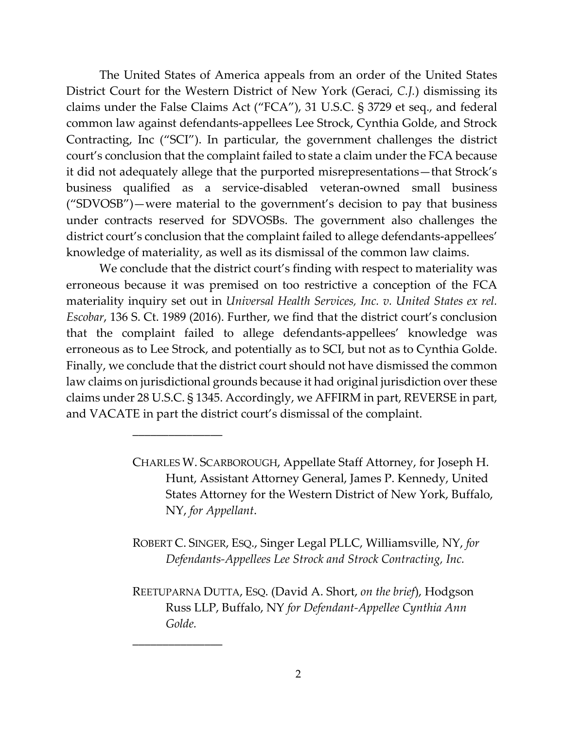The United States of America appeals from an order of the United States District Court for the Western District of New York (Geraci, *C.J.*) dismissing its claims under the False Claims Act ("FCA"), 31 U.S.C. § 3729 et seq., and federal common law against defendants-appellees Lee Strock, Cynthia Golde, and Strock Contracting, Inc ("SCI"). In particular, the government challenges the district court's conclusion that the complaint failed to state a claim under the FCA because it did not adequately allege that the purported misrepresentations—that Strock's business qualified as a service-disabled veteran-owned small business ("SDVOSB")—were material to the government's decision to pay that business under contracts reserved for SDVOSBs. The government also challenges the district court's conclusion that the complaint failed to allege defendants-appellees' knowledge of materiality, as well as its dismissal of the common law claims.

We conclude that the district court's finding with respect to materiality was erroneous because it was premised on too restrictive a conception of the FCA materiality inquiry set out in *Universal Health Services, Inc. v. United States ex rel. Escobar*, 136 S. Ct. 1989 (2016). Further, we find that the district court's conclusion that the complaint failed to allege defendants-appellees' knowledge was erroneous as to Lee Strock, and potentially as to SCI, but not as to Cynthia Golde. Finally, we conclude that the district court should not have dismissed the common law claims on jurisdictional grounds because it had original jurisdiction over these claims under 28 U.S.C. § 1345. Accordingly, we AFFIRM in part, REVERSE in part, and VACATE in part the district court's dismissal of the complaint.

\_\_\_\_\_\_\_\_\_\_\_\_\_\_\_

\_\_\_\_\_\_\_\_\_\_\_\_\_\_\_

- ROBERT C. SINGER, ESQ., Singer Legal PLLC, Williamsville, NY, *for Defendants-Appellees Lee Strock and Strock Contracting, Inc.*
- REETUPARNA DUTTA, ESQ. (David A. Short, *on the brief*), Hodgson Russ LLP, Buffalo, NY *for Defendant-Appellee Cynthia Ann Golde.*

CHARLES W. SCARBOROUGH, Appellate Staff Attorney, for Joseph H. Hunt, Assistant Attorney General, James P. Kennedy, United States Attorney for the Western District of New York, Buffalo, NY, *for Appellant*.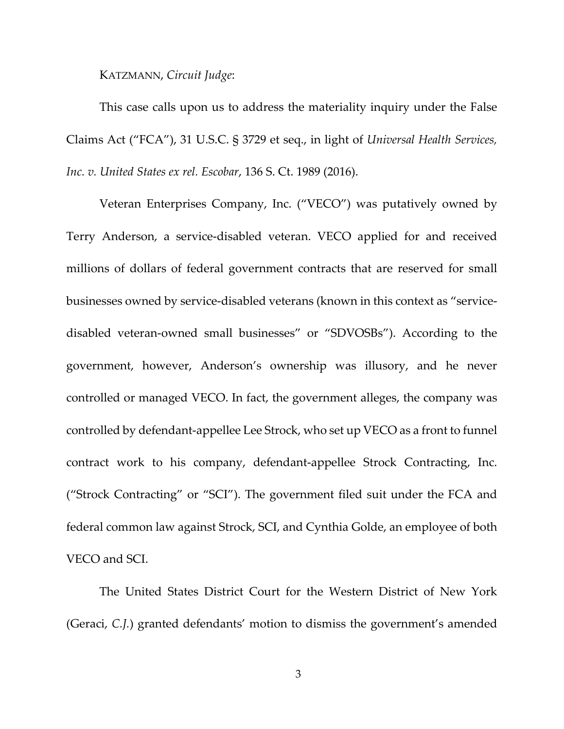KATZMANN, *Circuit Judge*:

This case calls upon us to address the materiality inquiry under the False Claims Act ("FCA"), 31 U.S.C. § 3729 et seq., in light of *Universal Health Services, Inc. v. United States ex rel. Escobar*, 136 S. Ct. 1989 (2016).

Veteran Enterprises Company, Inc. ("VECO") was putatively owned by Terry Anderson, a service-disabled veteran. VECO applied for and received millions of dollars of federal government contracts that are reserved for small businesses owned by service-disabled veterans (known in this context as "servicedisabled veteran-owned small businesses" or "SDVOSBs"). According to the government, however, Anderson's ownership was illusory, and he never controlled or managed VECO. In fact, the government alleges, the company was controlled by defendant-appellee Lee Strock, who set up VECO as a front to funnel contract work to his company, defendant-appellee Strock Contracting, Inc. ("Strock Contracting" or "SCI"). The government filed suit under the FCA and federal common law against Strock, SCI, and Cynthia Golde, an employee of both VECO and SCI.

The United States District Court for the Western District of New York (Geraci, *C.J.*) granted defendants' motion to dismiss the government's amended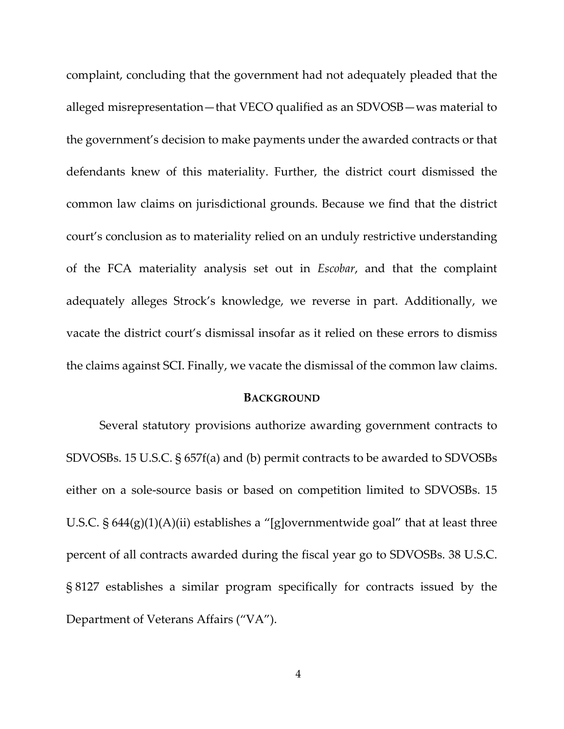complaint, concluding that the government had not adequately pleaded that the alleged misrepresentation—that VECO qualified as an SDVOSB—was material to the government's decision to make payments under the awarded contracts or that defendants knew of this materiality. Further, the district court dismissed the common law claims on jurisdictional grounds. Because we find that the district court's conclusion as to materiality relied on an unduly restrictive understanding of the FCA materiality analysis set out in *Escobar*, and that the complaint adequately alleges Strock's knowledge, we reverse in part. Additionally, we vacate the district court's dismissal insofar as it relied on these errors to dismiss the claims against SCI. Finally, we vacate the dismissal of the common law claims.

#### **BACKGROUND**

Several statutory provisions authorize awarding government contracts to SDVOSBs. 15 U.S.C. § 657f(a) and (b) permit contracts to be awarded to SDVOSBs either on a sole-source basis or based on competition limited to SDVOSBs. 15 U.S.C.  $\S 644(g)(1)(A)(ii)$  establishes a "[g]overnmentwide goal" that at least three percent of all contracts awarded during the fiscal year go to SDVOSBs. 38 U.S.C. § 8127 establishes a similar program specifically for contracts issued by the Department of Veterans Affairs ("VA").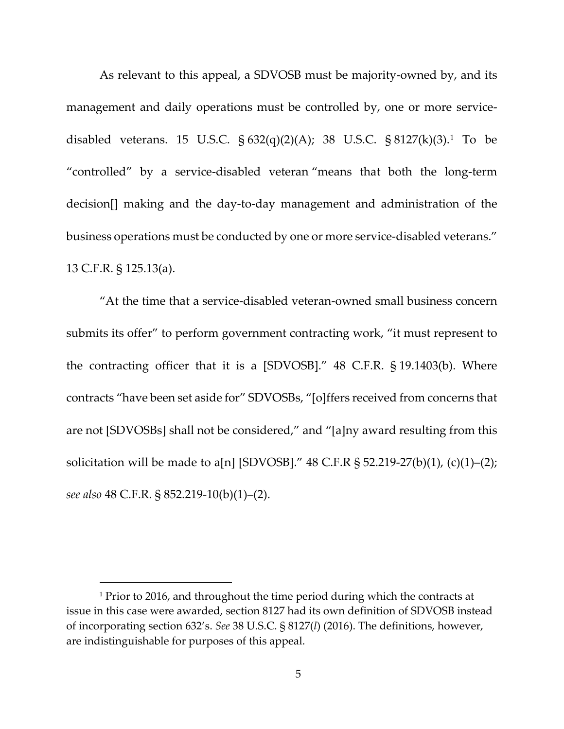As relevant to this appeal, a SDVOSB must be majority-owned by, and its management and daily operations must be controlled by, one or more servicedisabled veterans. 15 U.S.C. § 632(q)(2)(A); 38 U.S.C. § 8127(k)(3).[1](#page-4-0) To be "controlled" by a service-disabled veteran "means that both the long-term decision[] making and the day-to-day management and administration of the business operations must be conducted by one or more service-disabled veterans." 13 C.F.R. § 125.13(a).

"At the time that a service-disabled veteran-owned small business concern submits its offer" to perform government contracting work, "it must represent to the contracting officer that it is a [SDVOSB]." 48 C.F.R. § 19.1403(b). Where contracts "have been set aside for" SDVOSBs, "[o]ffers received from concerns that are not [SDVOSBs] shall not be considered," and "[a]ny award resulting from this solicitation will be made to a[n] [SDVOSB]."  $48$  C.F.R  $\S$  52.219-27(b)(1), (c)(1)–(2); *see also* 48 C.F.R. § 852.219-10(b)(1)–(2).

<span id="page-4-0"></span><sup>&</sup>lt;sup>1</sup> Prior to 2016, and throughout the time period during which the contracts at issue in this case were awarded, section 8127 had its own definition of SDVOSB instead of incorporating section 632's. *See* 38 U.S.C. § 8127(*l*) (2016). The definitions, however, are indistinguishable for purposes of this appeal.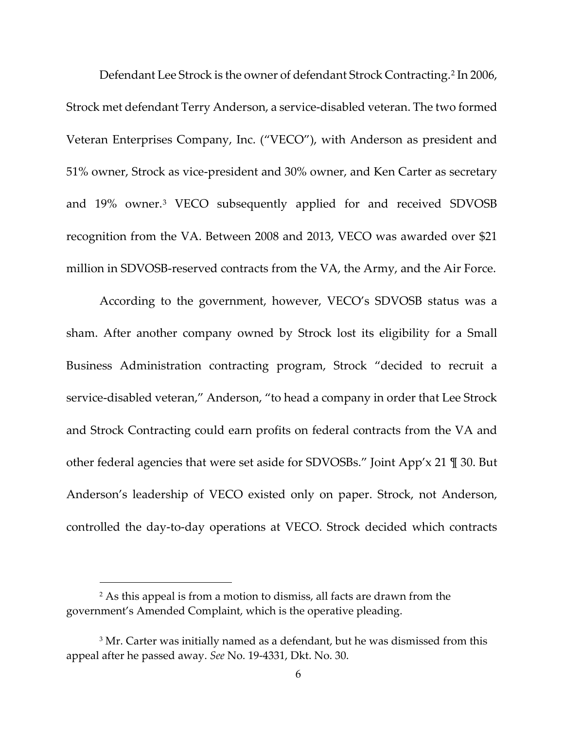Defendant Lee Strock is the owner of defendant Strock Contracting.[2](#page-5-0) In 2006, Strock met defendant Terry Anderson, a service-disabled veteran. The two formed Veteran Enterprises Company, Inc. ("VECO"), with Anderson as president and 51% owner, Strock as vice-president and 30% owner, and Ken Carter as secretary and 19% owner.[3](#page-5-1) VECO subsequently applied for and received SDVOSB recognition from the VA. Between 2008 and 2013, VECO was awarded over \$21 million in SDVOSB-reserved contracts from the VA, the Army, and the Air Force.

According to the government, however, VECO's SDVOSB status was a sham. After another company owned by Strock lost its eligibility for a Small Business Administration contracting program, Strock "decided to recruit a service-disabled veteran," Anderson, "to head a company in order that Lee Strock and Strock Contracting could earn profits on federal contracts from the VA and other federal agencies that were set aside for SDVOSBs." Joint App'x 21 ¶ 30. But Anderson's leadership of VECO existed only on paper. Strock, not Anderson, controlled the day-to-day operations at VECO. Strock decided which contracts

<span id="page-5-0"></span><sup>&</sup>lt;sup>2</sup> As this appeal is from a motion to dismiss, all facts are drawn from the government's Amended Complaint, which is the operative pleading.

<span id="page-5-1"></span><sup>&</sup>lt;sup>3</sup> Mr. Carter was initially named as a defendant, but he was dismissed from this appeal after he passed away. *See* No. 19-4331, Dkt. No. 30.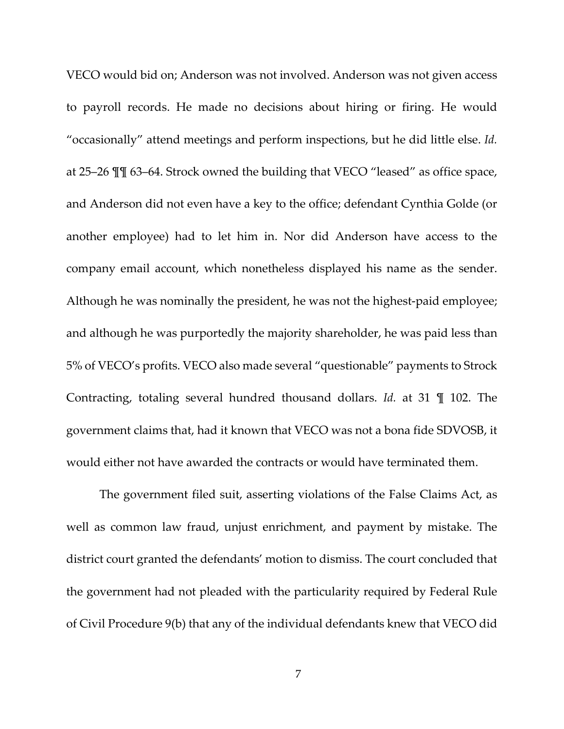VECO would bid on; Anderson was not involved. Anderson was not given access to payroll records. He made no decisions about hiring or firing. He would "occasionally" attend meetings and perform inspections, but he did little else. *Id.* at 25–26 ¶¶ 63–64. Strock owned the building that VECO "leased" as office space, and Anderson did not even have a key to the office; defendant Cynthia Golde (or another employee) had to let him in. Nor did Anderson have access to the company email account, which nonetheless displayed his name as the sender. Although he was nominally the president, he was not the highest-paid employee; and although he was purportedly the majority shareholder, he was paid less than 5% of VECO's profits. VECO also made several "questionable" payments to Strock Contracting, totaling several hundred thousand dollars. *Id.* at 31 ¶ 102. The government claims that, had it known that VECO was not a bona fide SDVOSB, it would either not have awarded the contracts or would have terminated them.

The government filed suit, asserting violations of the False Claims Act, as well as common law fraud, unjust enrichment, and payment by mistake. The district court granted the defendants' motion to dismiss. The court concluded that the government had not pleaded with the particularity required by Federal Rule of Civil Procedure 9(b) that any of the individual defendants knew that VECO did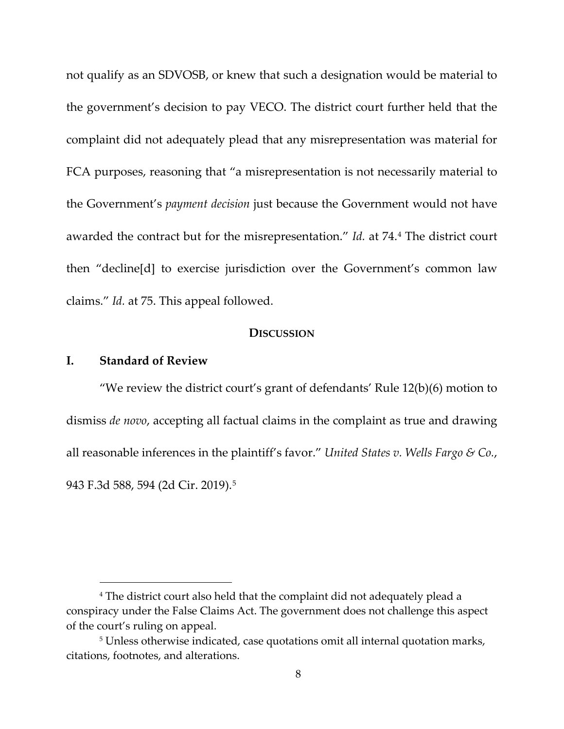not qualify as an SDVOSB, or knew that such a designation would be material to the government's decision to pay VECO. The district court further held that the complaint did not adequately plead that any misrepresentation was material for FCA purposes, reasoning that "a misrepresentation is not necessarily material to the Government's *payment decision* just because the Government would not have awarded the contract but for the misrepresentation." *Id.* at 74.[4](#page-7-0) The district court then "decline[d] to exercise jurisdiction over the Government's common law claims." *Id.* at 75. This appeal followed.

#### **DISCUSSION**

## **I. Standard of Review**

"We review the district court's grant of defendants' Rule  $12(b)(6)$  motion to dismiss *de novo*, accepting all factual claims in the complaint as true and drawing all reasonable inferences in the plaintiff's favor." *United States v. Wells Fargo & Co.*, 943 F.3d 588, 594 (2d Cir. 2019).[5](#page-7-1)

<span id="page-7-0"></span><sup>&</sup>lt;sup>4</sup> The district court also held that the complaint did not adequately plead a conspiracy under the False Claims Act. The government does not challenge this aspect of the court's ruling on appeal.

<span id="page-7-1"></span><sup>&</sup>lt;sup>5</sup> Unless otherwise indicated, case quotations omit all internal quotation marks, citations, footnotes, and alterations.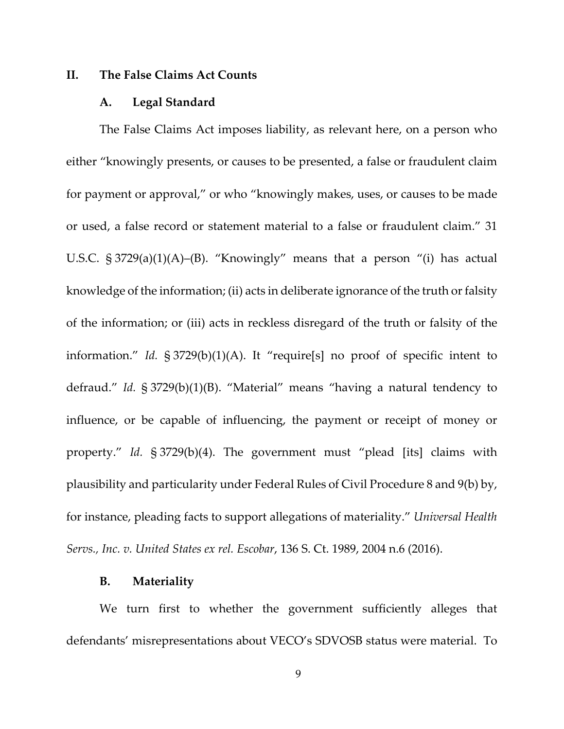## **II. The False Claims Act Counts**

#### **A. Legal Standard**

The False Claims Act imposes liability, as relevant here, on a person who either "knowingly presents, or causes to be presented, a false or fraudulent claim for payment or approval," or who "knowingly makes, uses, or causes to be made or used, a false record or statement material to a false or fraudulent claim." 31 U.S.C. § 3729(a)(1)(A)–(B). "Knowingly" means that a person "(i) has actual knowledge of the information; (ii) acts in deliberate ignorance of the truth or falsity of the information; or (iii) acts in reckless disregard of the truth or falsity of the information." *Id.* § 3729(b)(1)(A). It "require[s] no proof of specific intent to defraud." *Id.* § 3729(b)(1)(B). "Material" means "having a natural tendency to influence, or be capable of influencing, the payment or receipt of money or property." *Id.* § 3729(b)(4). The government must "plead [its] claims with plausibility and particularity under Federal Rules of Civil Procedure 8 and 9(b) by, for instance, pleading facts to support allegations of materiality." *Universal Health Servs., Inc. v. United States ex rel. Escobar*, 136 S. Ct. 1989, 2004 n.6 (2016).

#### **B. Materiality**

We turn first to whether the government sufficiently alleges that defendants' misrepresentations about VECO's SDVOSB status were material. To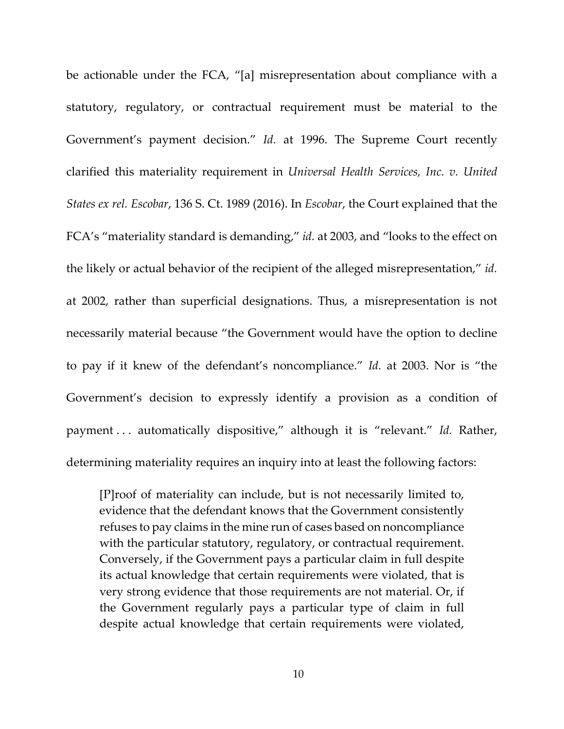be actionable under the FCA, "[a] misrepresentation about compliance with a statutory, regulatory, or contractual requirement must be material to the Government's payment decision." *Id.* at 1996. The Supreme Court recently clarified this materiality requirement in *Universal Health Services, Inc. v. United States ex rel. Escobar*, 136 S. Ct. 1989 (2016). In *Escobar*, the Court explained that the FCA's "materiality standard is demanding," *id.* at 2003, and "looks to the effect on the likely or actual behavior of the recipient of the alleged misrepresentation," *id.*  at 2002, rather than superficial designations. Thus, a misrepresentation is not necessarily material because "the Government would have the option to decline to pay if it knew of the defendant's noncompliance." *Id.* at 2003. Nor is "the Government's decision to expressly identify a provision as a condition of payment . . . automatically dispositive," although it is "relevant." *Id.* Rather, determining materiality requires an inquiry into at least the following factors:

[P]roof of materiality can include, but is not necessarily limited to, evidence that the defendant knows that the Government consistently refuses to pay claims in the mine run of cases based on noncompliance with the particular statutory, regulatory, or contractual requirement. Conversely, if the Government pays a particular claim in full despite its actual knowledge that certain requirements were violated, that is very strong evidence that those requirements are not material. Or, if the Government regularly pays a particular type of claim in full despite actual knowledge that certain requirements were violated,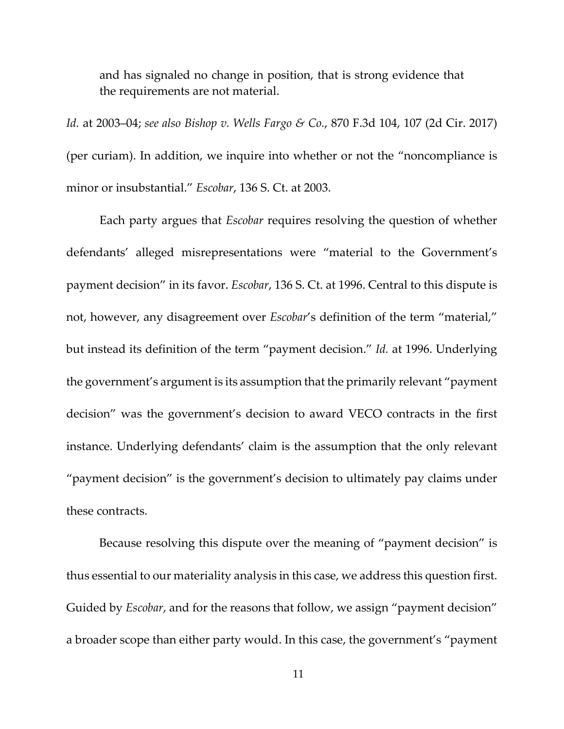and has signaled no change in position, that is strong evidence that the requirements are not material.

*Id.* at 2003–04; *see also Bishop v. Wells Fargo & Co.*, 870 F.3d 104, 107 (2d Cir. 2017) (per curiam). In addition, we inquire into whether or not the "noncompliance is minor or insubstantial." *Escobar*, 136 S. Ct. at 2003.

Each party argues that *Escobar* requires resolving the question of whether defendants' alleged misrepresentations were "material to the Government's payment decision" in its favor. *Escobar*, 136 S. Ct. at 1996. Central to this dispute is not, however, any disagreement over *Escobar*'s definition of the term "material," but instead its definition of the term "payment decision." *Id.* at 1996. Underlying the government's argument is its assumption that the primarily relevant "payment decision" was the government's decision to award VECO contracts in the first instance. Underlying defendants' claim is the assumption that the only relevant "payment decision" is the government's decision to ultimately pay claims under these contracts.

Because resolving this dispute over the meaning of "payment decision" is thus essential to our materiality analysis in this case, we address this question first. Guided by *Escobar*, and for the reasons that follow, we assign "payment decision" a broader scope than either party would. In this case, the government's "payment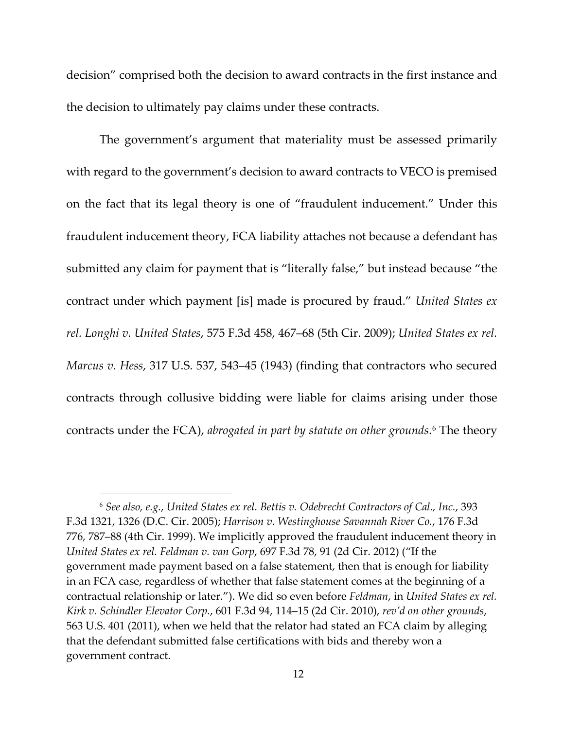decision" comprised both the decision to award contracts in the first instance and the decision to ultimately pay claims under these contracts.

The government's argument that materiality must be assessed primarily with regard to the government's decision to award contracts to VECO is premised on the fact that its legal theory is one of "fraudulent inducement." Under this fraudulent inducement theory, FCA liability attaches not because a defendant has submitted any claim for payment that is "literally false," but instead because "the contract under which payment [is] made is procured by fraud." *United States ex rel. Longhi v. United States*, 575 F.3d 458, 467–68 (5th Cir. 2009); *United States ex rel. Marcus v. Hess*, 317 U.S. 537, 543–45 (1943) (finding that contractors who secured contracts through collusive bidding were liable for claims arising under those contracts under the FCA), *abrogated in part by statute on other grounds*[.6](#page-11-0) The theory

<span id="page-11-0"></span><sup>6</sup> *See also, e.g.*, *United States ex rel. Bettis v. Odebrecht Contractors of Cal., Inc.*, 393 F.3d 1321, 1326 (D.C. Cir. 2005); *Harrison v. Westinghouse Savannah River Co.*, 176 F.3d 776, 787–88 (4th Cir. 1999). We implicitly approved the fraudulent inducement theory in *United States ex rel. Feldman v. van Gorp*, 697 F.3d 78, 91 (2d Cir. 2012) ("If the government made payment based on a false statement, then that is enough for liability in an FCA case, regardless of whether that false statement comes at the beginning of a contractual relationship or later."). We did so even before *Feldman*, in *United States ex rel. Kirk v. Schindler Elevator Corp.*, 601 F.3d 94, 114–15 (2d Cir. 2010), *rev'd on other grounds*, 563 U.S. 401 (2011), when we held that the relator had stated an FCA claim by alleging that the defendant submitted false certifications with bids and thereby won a government contract.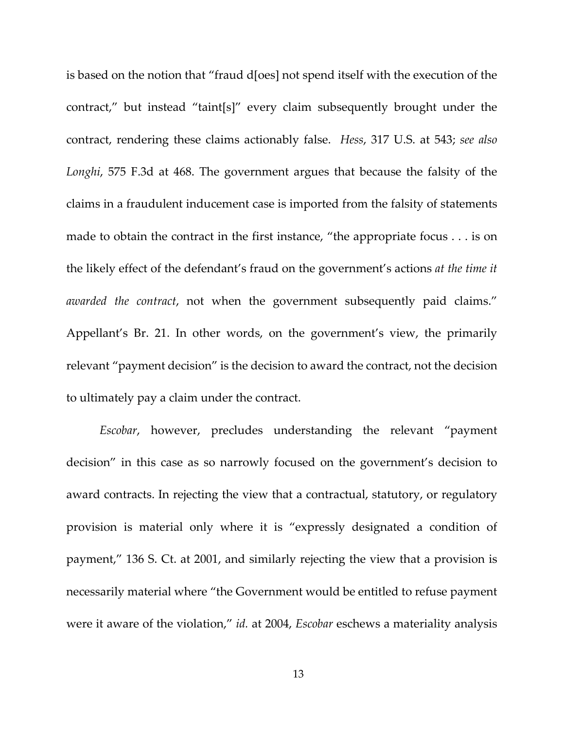is based on the notion that "fraud d[oes] not spend itself with the execution of the contract," but instead "taint[s]" every claim subsequently brought under the contract, rendering these claims actionably false. *Hess*, 317 U.S. at 543; *see also Longhi*, 575 F.3d at 468. The government argues that because the falsity of the claims in a fraudulent inducement case is imported from the falsity of statements made to obtain the contract in the first instance, "the appropriate focus . . . is on the likely effect of the defendant's fraud on the government's actions *at the time it awarded the contract*, not when the government subsequently paid claims." Appellant's Br. 21. In other words, on the government's view, the primarily relevant "payment decision" is the decision to award the contract, not the decision to ultimately pay a claim under the contract.

*Escobar*, however, precludes understanding the relevant "payment decision" in this case as so narrowly focused on the government's decision to award contracts. In rejecting the view that a contractual, statutory, or regulatory provision is material only where it is "expressly designated a condition of payment," 136 S. Ct. at 2001, and similarly rejecting the view that a provision is necessarily material where "the Government would be entitled to refuse payment were it aware of the violation," *id.* at 2004, *Escobar* eschews a materiality analysis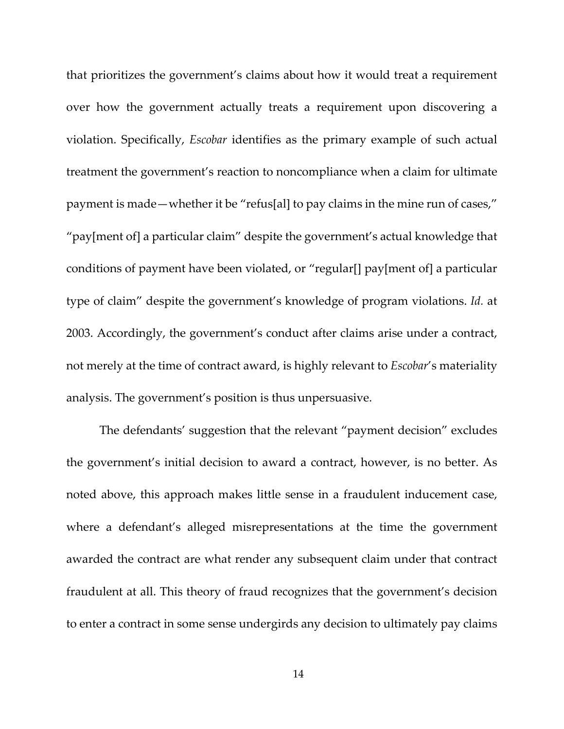that prioritizes the government's claims about how it would treat a requirement over how the government actually treats a requirement upon discovering a violation. Specifically, *Escobar* identifies as the primary example of such actual treatment the government's reaction to noncompliance when a claim for ultimate payment is made—whether it be "refus[al] to pay claims in the mine run of cases," "pay[ment of] a particular claim" despite the government's actual knowledge that conditions of payment have been violated, or "regular[] pay[ment of] a particular type of claim" despite the government's knowledge of program violations. *Id.* at 2003. Accordingly, the government's conduct after claims arise under a contract, not merely at the time of contract award, is highly relevant to *Escobar*'s materiality analysis. The government's position is thus unpersuasive.

The defendants' suggestion that the relevant "payment decision" excludes the government's initial decision to award a contract, however, is no better. As noted above, this approach makes little sense in a fraudulent inducement case, where a defendant's alleged misrepresentations at the time the government awarded the contract are what render any subsequent claim under that contract fraudulent at all. This theory of fraud recognizes that the government's decision to enter a contract in some sense undergirds any decision to ultimately pay claims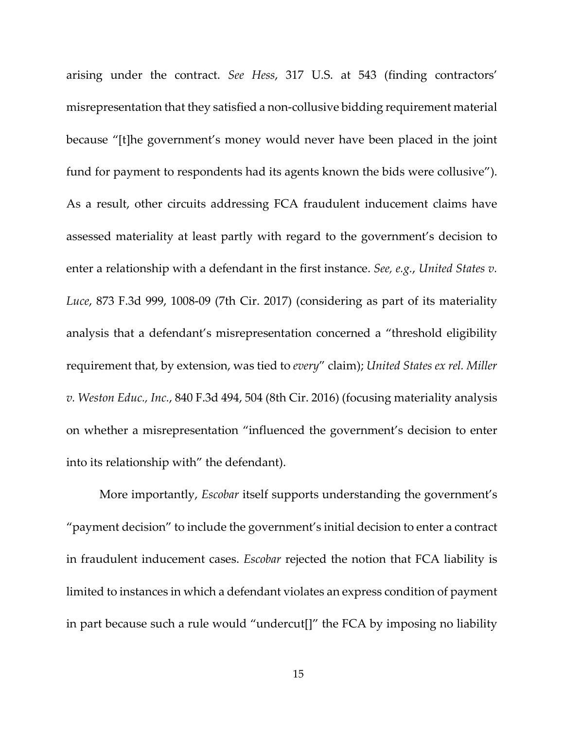arising under the contract. *See Hess*, 317 U.S. at 543 (finding contractors' misrepresentation that they satisfied a non-collusive bidding requirement material because "[t]he government's money would never have been placed in the joint fund for payment to respondents had its agents known the bids were collusive"). As a result, other circuits addressing FCA fraudulent inducement claims have assessed materiality at least partly with regard to the government's decision to enter a relationship with a defendant in the first instance. *See, e.g.*, *United States v. Luce*, 873 F.3d 999, 1008-09 (7th Cir. 2017) (considering as part of its materiality analysis that a defendant's misrepresentation concerned a "threshold eligibility requirement that, by extension, was tied to *every*" claim); *United States ex rel. Miller v. Weston Educ., Inc.*, 840 F.3d 494, 504 (8th Cir. 2016) (focusing materiality analysis on whether a misrepresentation "influenced the government's decision to enter into its relationship with" the defendant).

More importantly, *Escobar* itself supports understanding the government's "payment decision" to include the government's initial decision to enter a contract in fraudulent inducement cases. *Escobar* rejected the notion that FCA liability is limited to instances in which a defendant violates an express condition of payment in part because such a rule would "undercut[]" the FCA by imposing no liability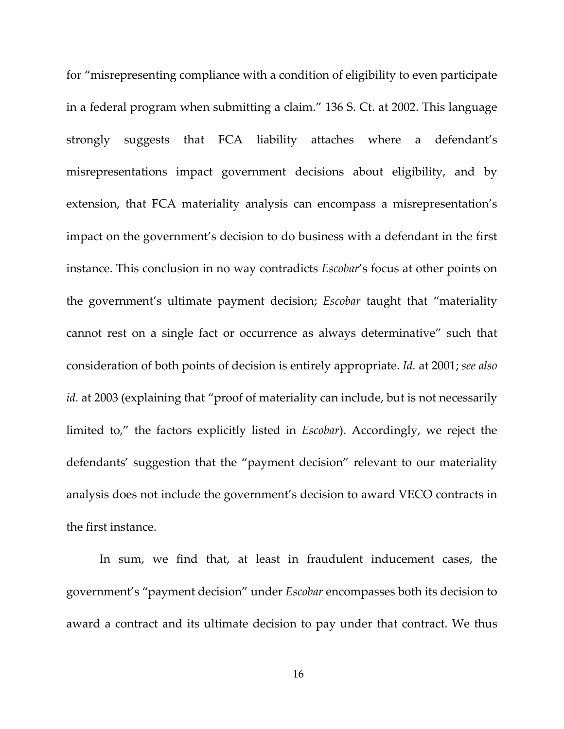for "misrepresenting compliance with a condition of eligibility to even participate in a federal program when submitting a claim." 136 S. Ct. at 2002. This language strongly suggests that FCA liability attaches where a defendant's misrepresentations impact government decisions about eligibility, and by extension, that FCA materiality analysis can encompass a misrepresentation's impact on the government's decision to do business with a defendant in the first instance. This conclusion in no way contradicts *Escobar*'s focus at other points on the government's ultimate payment decision; *Escobar* taught that "materiality cannot rest on a single fact or occurrence as always determinative" such that consideration of both points of decision is entirely appropriate. *Id.* at 2001; *see also id.* at 2003 (explaining that "proof of materiality can include, but is not necessarily limited to," the factors explicitly listed in *Escobar*). Accordingly, we reject the defendants' suggestion that the "payment decision" relevant to our materiality analysis does not include the government's decision to award VECO contracts in the first instance.

In sum, we find that, at least in fraudulent inducement cases, the government's "payment decision" under *Escobar* encompasses both its decision to award a contract and its ultimate decision to pay under that contract. We thus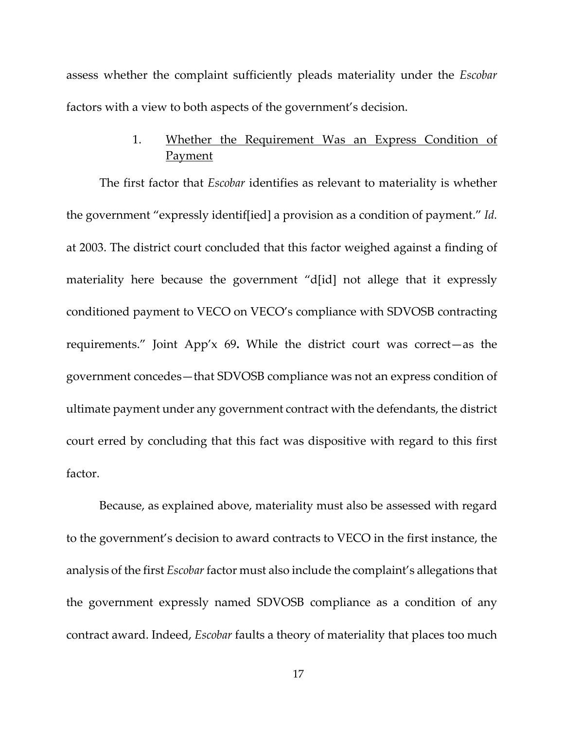assess whether the complaint sufficiently pleads materiality under the *Escobar* factors with a view to both aspects of the government's decision.

# 1. Whether the Requirement Was an Express Condition of **Payment**

The first factor that *Escobar* identifies as relevant to materiality is whether the government "expressly identif[ied] a provision as a condition of payment." *Id.* at 2003. The district court concluded that this factor weighed against a finding of materiality here because the government "d[id] not allege that it expressly conditioned payment to VECO on VECO's compliance with SDVOSB contracting requirements." Joint App'x 69**.** While the district court was correct—as the government concedes—that SDVOSB compliance was not an express condition of ultimate payment under any government contract with the defendants, the district court erred by concluding that this fact was dispositive with regard to this first factor.

Because, as explained above, materiality must also be assessed with regard to the government's decision to award contracts to VECO in the first instance, the analysis of the first *Escobar* factor must also include the complaint's allegations that the government expressly named SDVOSB compliance as a condition of any contract award. Indeed, *Escobar* faults a theory of materiality that places too much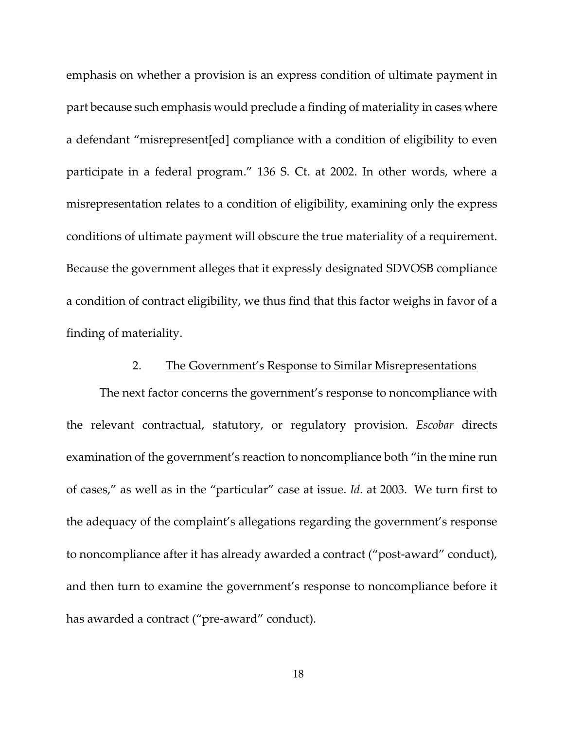emphasis on whether a provision is an express condition of ultimate payment in part because such emphasis would preclude a finding of materiality in cases where a defendant "misrepresent[ed] compliance with a condition of eligibility to even participate in a federal program." 136 S. Ct. at 2002. In other words, where a misrepresentation relates to a condition of eligibility, examining only the express conditions of ultimate payment will obscure the true materiality of a requirement. Because the government alleges that it expressly designated SDVOSB compliance a condition of contract eligibility, we thus find that this factor weighs in favor of a finding of materiality.

#### 2. The Government's Response to Similar Misrepresentations

The next factor concerns the government's response to noncompliance with the relevant contractual, statutory, or regulatory provision. *Escobar* directs examination of the government's reaction to noncompliance both "in the mine run of cases," as well as in the "particular" case at issue. *Id.* at 2003. We turn first to the adequacy of the complaint's allegations regarding the government's response to noncompliance after it has already awarded a contract ("post-award" conduct), and then turn to examine the government's response to noncompliance before it has awarded a contract ("pre-award" conduct).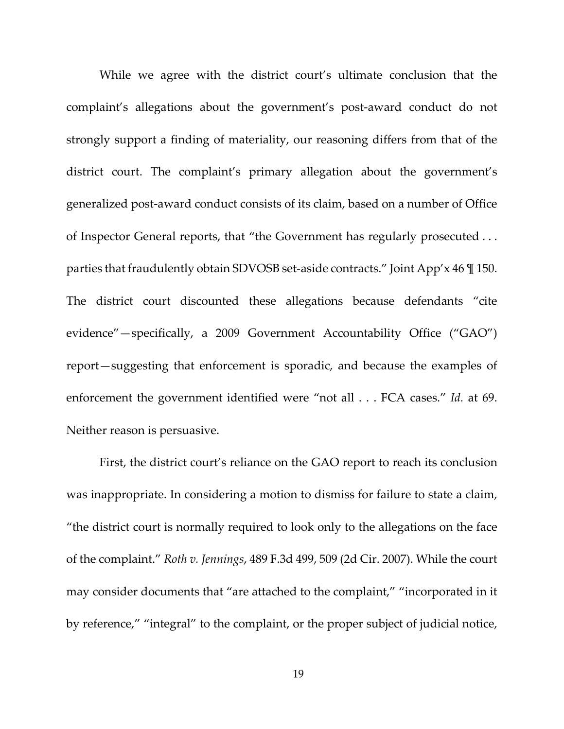While we agree with the district court's ultimate conclusion that the complaint's allegations about the government's post-award conduct do not strongly support a finding of materiality, our reasoning differs from that of the district court. The complaint's primary allegation about the government's generalized post-award conduct consists of its claim, based on a number of Office of Inspector General reports, that "the Government has regularly prosecuted . . . parties that fraudulently obtain SDVOSB set-aside contracts." Joint App'x 46 ¶ 150. The district court discounted these allegations because defendants "cite evidence"—specifically, a 2009 Government Accountability Office ("GAO") report—suggesting that enforcement is sporadic, and because the examples of enforcement the government identified were "not all . . . FCA cases." *Id.* at 69. Neither reason is persuasive.

First, the district court's reliance on the GAO report to reach its conclusion was inappropriate. In considering a motion to dismiss for failure to state a claim, "the district court is normally required to look only to the allegations on the face of the complaint." *Roth v. Jennings*, 489 F.3d 499, 509 (2d Cir. 2007). While the court may consider documents that "are attached to the complaint," "incorporated in it by reference," "integral" to the complaint, or the proper subject of judicial notice,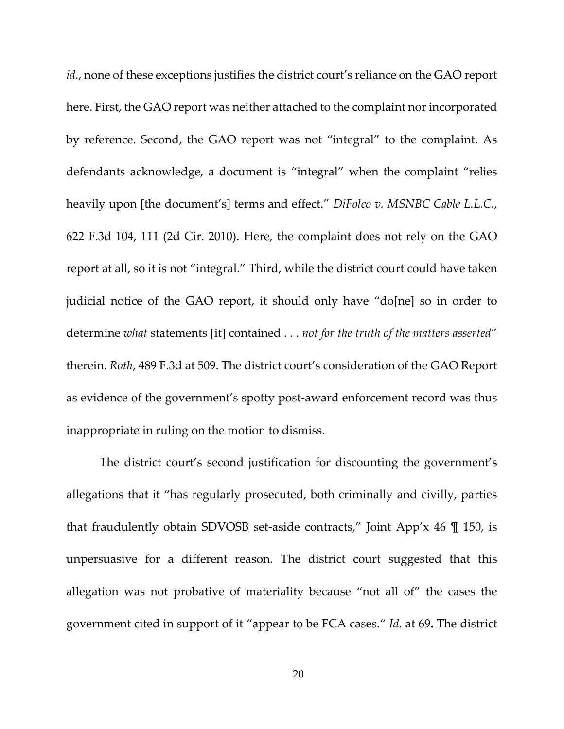*id.*, none of these exceptions justifies the district court's reliance on the GAO report here. First, the GAO report was neither attached to the complaint nor incorporated by reference. Second, the GAO report was not "integral" to the complaint. As defendants acknowledge, a document is "integral" when the complaint "relies heavily upon [the document's] terms and effect." *DiFolco v. MSNBC Cable L.L.C.*, 622 F.3d 104, 111 (2d Cir. 2010). Here, the complaint does not rely on the GAO report at all, so it is not "integral." Third, while the district court could have taken judicial notice of the GAO report, it should only have "do[ne] so in order to determine *what* statements [it] contained . . . *not for the truth of the matters asserted*" therein. *Roth*, 489 F.3d at 509. The district court's consideration of the GAO Report as evidence of the government's spotty post-award enforcement record was thus inappropriate in ruling on the motion to dismiss.

The district court's second justification for discounting the government's allegations that it "has regularly prosecuted, both criminally and civilly, parties that fraudulently obtain SDVOSB set-aside contracts," Joint App'x 46 ¶ 150, is unpersuasive for a different reason. The district court suggested that this allegation was not probative of materiality because "not all of" the cases the government cited in support of it "appear to be FCA cases." *Id.* at 69**.** The district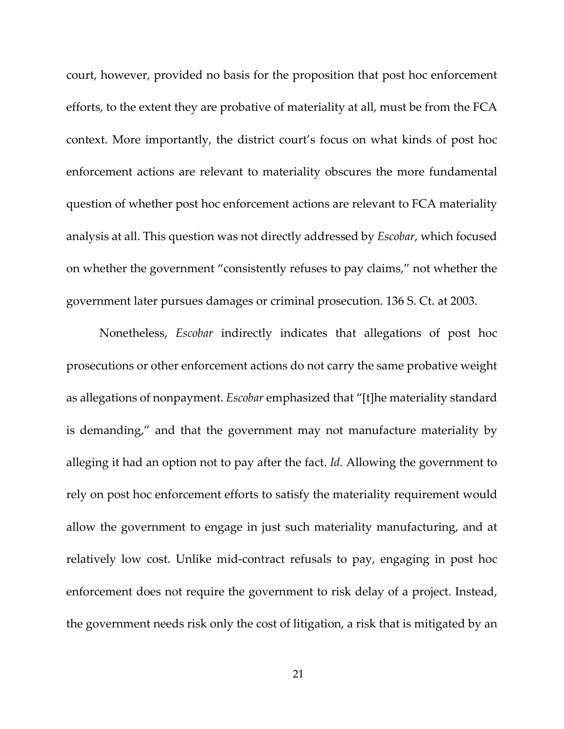court, however, provided no basis for the proposition that post hoc enforcement efforts, to the extent they are probative of materiality at all, must be from the FCA context. More importantly, the district court's focus on what kinds of post hoc enforcement actions are relevant to materiality obscures the more fundamental question of whether post hoc enforcement actions are relevant to FCA materiality analysis at all. This question was not directly addressed by *Escobar*, which focused on whether the government "consistently refuses to pay claims," not whether the government later pursues damages or criminal prosecution. 136 S. Ct. at 2003.

Nonetheless, *Escobar* indirectly indicates that allegations of post hoc prosecutions or other enforcement actions do not carry the same probative weight as allegations of nonpayment. *Escobar* emphasized that "[t]he materiality standard is demanding," and that the government may not manufacture materiality by alleging it had an option not to pay after the fact. *Id.* Allowing the government to rely on post hoc enforcement efforts to satisfy the materiality requirement would allow the government to engage in just such materiality manufacturing, and at relatively low cost. Unlike mid-contract refusals to pay, engaging in post hoc enforcement does not require the government to risk delay of a project. Instead, the government needs risk only the cost of litigation, a risk that is mitigated by an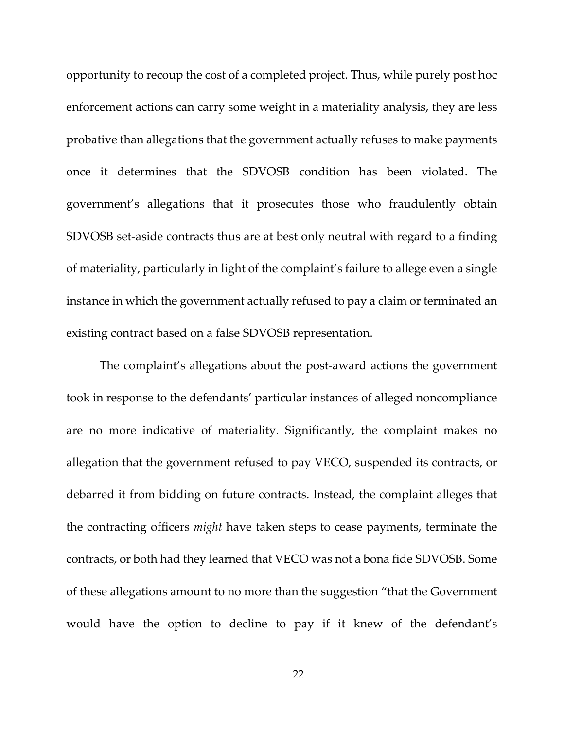opportunity to recoup the cost of a completed project. Thus, while purely post hoc enforcement actions can carry some weight in a materiality analysis, they are less probative than allegations that the government actually refuses to make payments once it determines that the SDVOSB condition has been violated. The government's allegations that it prosecutes those who fraudulently obtain SDVOSB set-aside contracts thus are at best only neutral with regard to a finding of materiality, particularly in light of the complaint's failure to allege even a single instance in which the government actually refused to pay a claim or terminated an existing contract based on a false SDVOSB representation.

The complaint's allegations about the post-award actions the government took in response to the defendants' particular instances of alleged noncompliance are no more indicative of materiality. Significantly, the complaint makes no allegation that the government refused to pay VECO, suspended its contracts, or debarred it from bidding on future contracts. Instead, the complaint alleges that the contracting officers *might* have taken steps to cease payments, terminate the contracts, or both had they learned that VECO was not a bona fide SDVOSB. Some of these allegations amount to no more than the suggestion "that the Government would have the option to decline to pay if it knew of the defendant's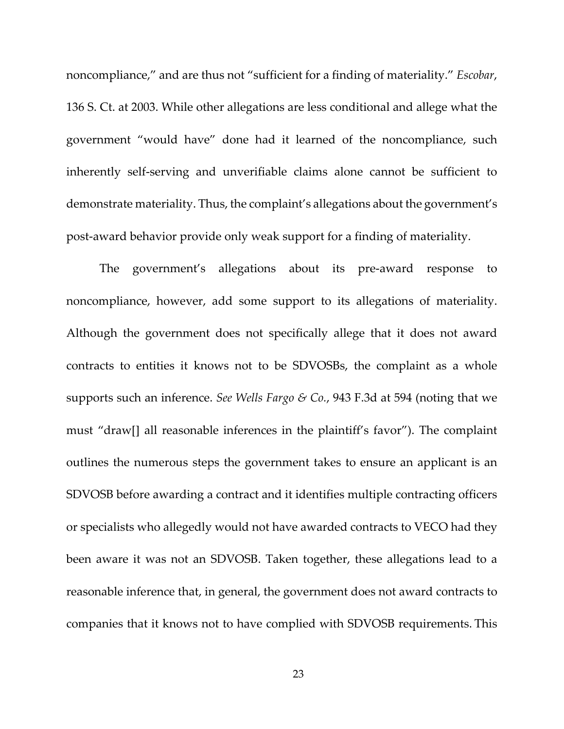noncompliance," and are thus not "sufficient for a finding of materiality." *Escobar*, 136 S. Ct. at 2003. While other allegations are less conditional and allege what the government "would have" done had it learned of the noncompliance, such inherently self-serving and unverifiable claims alone cannot be sufficient to demonstrate materiality. Thus, the complaint's allegations about the government's post-award behavior provide only weak support for a finding of materiality.

The government's allegations about its pre-award response to noncompliance, however, add some support to its allegations of materiality. Although the government does not specifically allege that it does not award contracts to entities it knows not to be SDVOSBs, the complaint as a whole supports such an inference. *See Wells Fargo & Co.*, 943 F.3d at 594 (noting that we must "draw[] all reasonable inferences in the plaintiff's favor"). The complaint outlines the numerous steps the government takes to ensure an applicant is an SDVOSB before awarding a contract and it identifies multiple contracting officers or specialists who allegedly would not have awarded contracts to VECO had they been aware it was not an SDVOSB. Taken together, these allegations lead to a reasonable inference that, in general, the government does not award contracts to companies that it knows not to have complied with SDVOSB requirements. This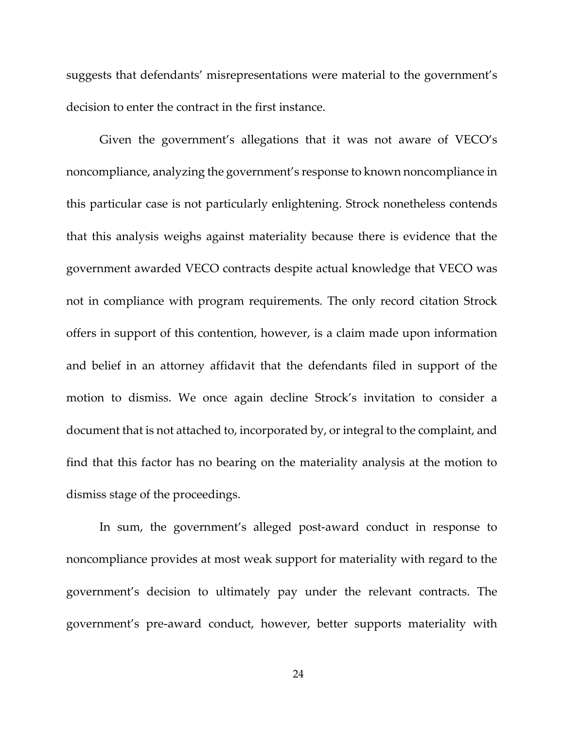suggests that defendants' misrepresentations were material to the government's decision to enter the contract in the first instance.

Given the government's allegations that it was not aware of VECO's noncompliance, analyzing the government's response to known noncompliance in this particular case is not particularly enlightening. Strock nonetheless contends that this analysis weighs against materiality because there is evidence that the government awarded VECO contracts despite actual knowledge that VECO was not in compliance with program requirements. The only record citation Strock offers in support of this contention, however, is a claim made upon information and belief in an attorney affidavit that the defendants filed in support of the motion to dismiss. We once again decline Strock's invitation to consider a document that is not attached to, incorporated by, or integral to the complaint, and find that this factor has no bearing on the materiality analysis at the motion to dismiss stage of the proceedings.

In sum, the government's alleged post-award conduct in response to noncompliance provides at most weak support for materiality with regard to the government's decision to ultimately pay under the relevant contracts. The government's pre-award conduct, however, better supports materiality with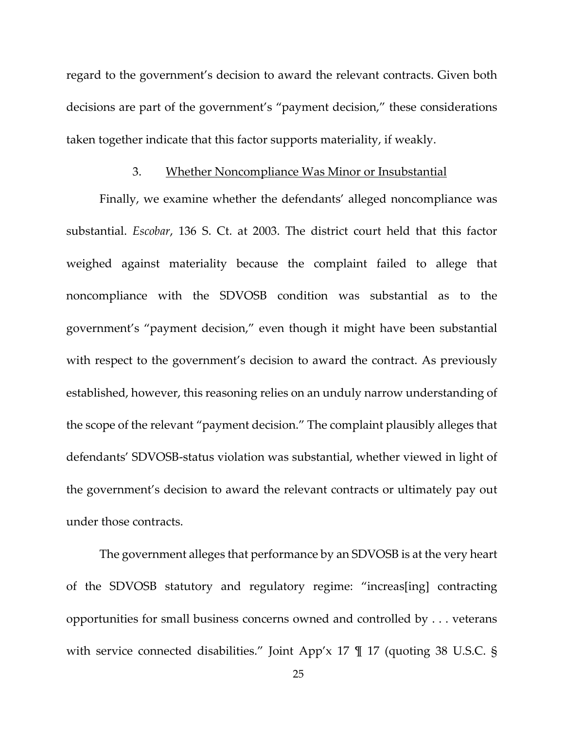regard to the government's decision to award the relevant contracts. Given both decisions are part of the government's "payment decision," these considerations taken together indicate that this factor supports materiality, if weakly.

#### 3. Whether Noncompliance Was Minor or Insubstantial

Finally, we examine whether the defendants' alleged noncompliance was substantial. *Escobar*, 136 S. Ct. at 2003. The district court held that this factor weighed against materiality because the complaint failed to allege that noncompliance with the SDVOSB condition was substantial as to the government's "payment decision," even though it might have been substantial with respect to the government's decision to award the contract. As previously established, however, this reasoning relies on an unduly narrow understanding of the scope of the relevant "payment decision." The complaint plausibly alleges that defendants' SDVOSB-status violation was substantial, whether viewed in light of the government's decision to award the relevant contracts or ultimately pay out under those contracts.

The government alleges that performance by an SDVOSB is at the very heart of the SDVOSB statutory and regulatory regime: "increas[ing] contracting opportunities for small business concerns owned and controlled by . . . veterans with service connected disabilities." Joint App'x 17 ¶ 17 (quoting 38 U.S.C. §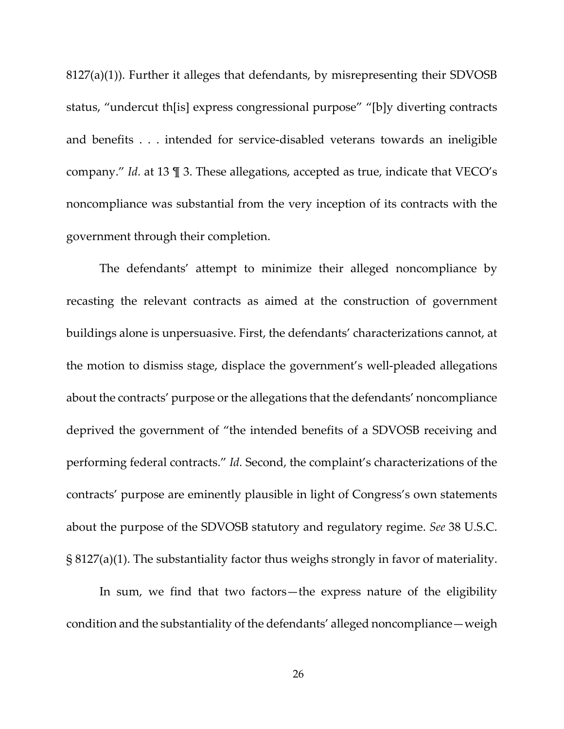8127(a)(1)). Further it alleges that defendants, by misrepresenting their SDVOSB status, "undercut th[is] express congressional purpose" "[b]y diverting contracts and benefits . . . intended for service-disabled veterans towards an ineligible company." *Id.* at 13 ¶ 3. These allegations, accepted as true, indicate that VECO's noncompliance was substantial from the very inception of its contracts with the government through their completion.

The defendants' attempt to minimize their alleged noncompliance by recasting the relevant contracts as aimed at the construction of government buildings alone is unpersuasive. First, the defendants' characterizations cannot, at the motion to dismiss stage, displace the government's well-pleaded allegations about the contracts' purpose or the allegations that the defendants' noncompliance deprived the government of "the intended benefits of a SDVOSB receiving and performing federal contracts." *Id.* Second, the complaint's characterizations of the contracts' purpose are eminently plausible in light of Congress's own statements about the purpose of the SDVOSB statutory and regulatory regime. *See* 38 U.S.C. § 8127(a)(1). The substantiality factor thus weighs strongly in favor of materiality.

In sum, we find that two factors—the express nature of the eligibility condition and the substantiality of the defendants' alleged noncompliance—weigh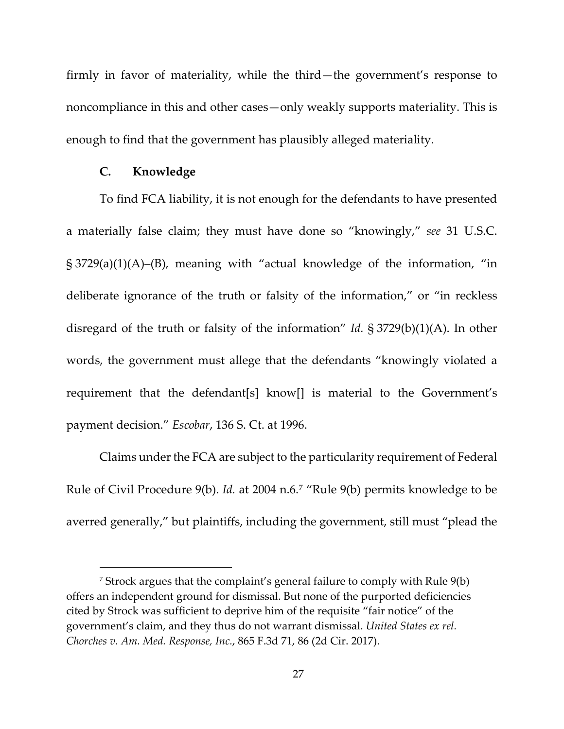firmly in favor of materiality, while the third—the government's response to noncompliance in this and other cases—only weakly supports materiality. This is enough to find that the government has plausibly alleged materiality.

#### **C. Knowledge**

To find FCA liability, it is not enough for the defendants to have presented a materially false claim; they must have done so "knowingly," *see* 31 U.S.C. § 3729(a)(1)(A)–(B), meaning with "actual knowledge of the information, "in deliberate ignorance of the truth or falsity of the information," or "in reckless disregard of the truth or falsity of the information" *Id.* § 3729(b)(1)(A). In other words, the government must allege that the defendants "knowingly violated a requirement that the defendant[s] know[] is material to the Government's payment decision." *Escobar*, 136 S. Ct. at 1996.

Claims under the FCA are subject to the particularity requirement of Federal Rule of Civil Procedure 9(b). *Id.* at 2004 n.6.[7](#page-26-0) "Rule 9(b) permits knowledge to be averred generally," but plaintiffs, including the government, still must "plead the

<span id="page-26-0"></span><sup>7</sup> Strock argues that the complaint's general failure to comply with Rule 9(b) offers an independent ground for dismissal. But none of the purported deficiencies cited by Strock was sufficient to deprive him of the requisite "fair notice" of the government's claim, and they thus do not warrant dismissal. *United States ex rel. Chorches v. Am. Med. Response, Inc.*, 865 F.3d 71, 86 (2d Cir. 2017).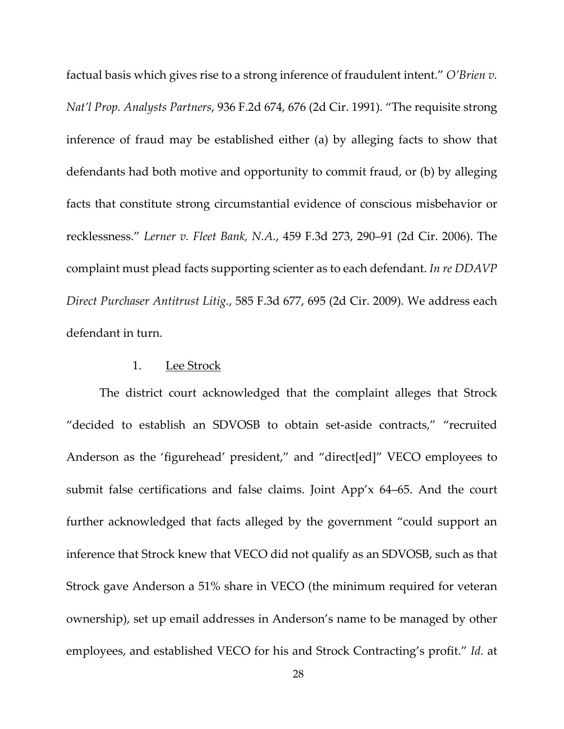factual basis which gives rise to a strong inference of fraudulent intent." *O'Brien v. Nat'l Prop. Analysts Partners*, 936 F.2d 674, 676 (2d Cir. 1991). "The requisite strong inference of fraud may be established either (a) by alleging facts to show that defendants had both motive and opportunity to commit fraud, or (b) by alleging facts that constitute strong circumstantial evidence of conscious misbehavior or recklessness." *Lerner v. Fleet Bank, N.A.*, 459 F.3d 273, 290–91 (2d Cir. 2006). The complaint must plead facts supporting scienter as to each defendant. *In re DDAVP Direct Purchaser Antitrust Litig.*, 585 F.3d 677, 695 (2d Cir. 2009). We address each defendant in turn.

## 1. Lee Strock

The district court acknowledged that the complaint alleges that Strock "decided to establish an SDVOSB to obtain set-aside contracts," "recruited Anderson as the 'figurehead' president," and "direct[ed]" VECO employees to submit false certifications and false claims. Joint App'x 64–65. And the court further acknowledged that facts alleged by the government "could support an inference that Strock knew that VECO did not qualify as an SDVOSB, such as that Strock gave Anderson a 51% share in VECO (the minimum required for veteran ownership), set up email addresses in Anderson's name to be managed by other employees, and established VECO for his and Strock Contracting's profit." *Id.* at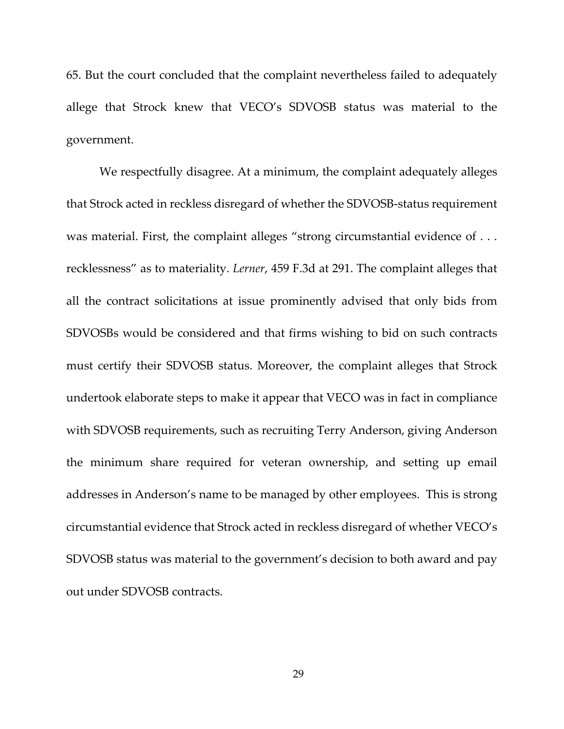65. But the court concluded that the complaint nevertheless failed to adequately allege that Strock knew that VECO's SDVOSB status was material to the government.

We respectfully disagree. At a minimum, the complaint adequately alleges that Strock acted in reckless disregard of whether the SDVOSB-status requirement was material. First, the complaint alleges "strong circumstantial evidence of . . . recklessness" as to materiality. *Lerner*, 459 F.3d at 291. The complaint alleges that all the contract solicitations at issue prominently advised that only bids from SDVOSBs would be considered and that firms wishing to bid on such contracts must certify their SDVOSB status. Moreover, the complaint alleges that Strock undertook elaborate steps to make it appear that VECO was in fact in compliance with SDVOSB requirements, such as recruiting Terry Anderson, giving Anderson the minimum share required for veteran ownership, and setting up email addresses in Anderson's name to be managed by other employees. This is strong circumstantial evidence that Strock acted in reckless disregard of whether VECO's SDVOSB status was material to the government's decision to both award and pay out under SDVOSB contracts.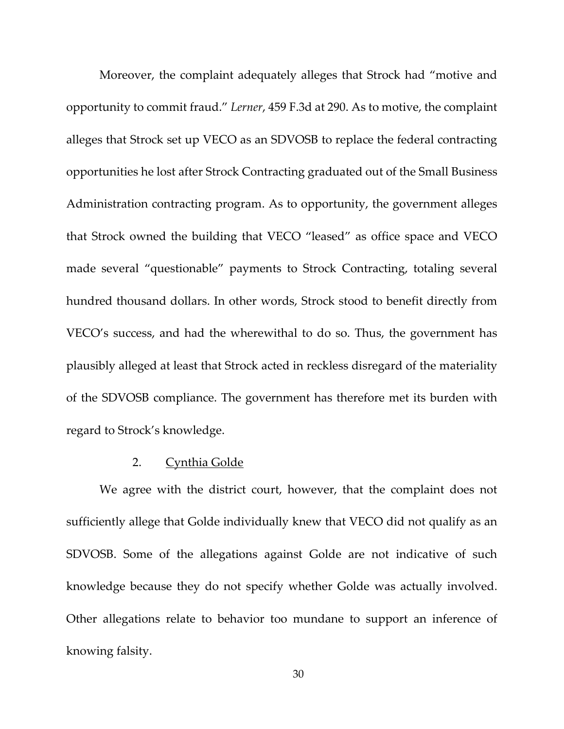Moreover, the complaint adequately alleges that Strock had "motive and opportunity to commit fraud." *Lerner*, 459 F.3d at 290. As to motive, the complaint alleges that Strock set up VECO as an SDVOSB to replace the federal contracting opportunities he lost after Strock Contracting graduated out of the Small Business Administration contracting program. As to opportunity, the government alleges that Strock owned the building that VECO "leased" as office space and VECO made several "questionable" payments to Strock Contracting, totaling several hundred thousand dollars. In other words, Strock stood to benefit directly from VECO's success, and had the wherewithal to do so. Thus, the government has plausibly alleged at least that Strock acted in reckless disregard of the materiality of the SDVOSB compliance. The government has therefore met its burden with regard to Strock's knowledge.

## 2. Cynthia Golde

We agree with the district court, however, that the complaint does not sufficiently allege that Golde individually knew that VECO did not qualify as an SDVOSB. Some of the allegations against Golde are not indicative of such knowledge because they do not specify whether Golde was actually involved. Other allegations relate to behavior too mundane to support an inference of knowing falsity.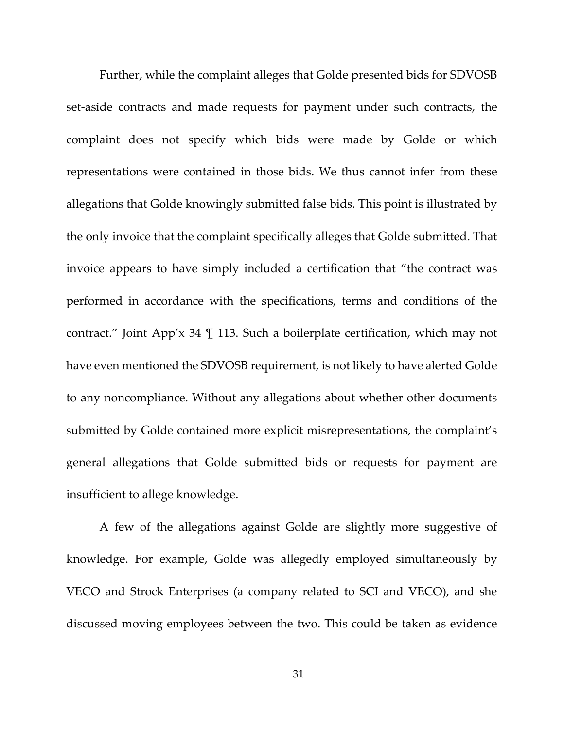Further, while the complaint alleges that Golde presented bids for SDVOSB set-aside contracts and made requests for payment under such contracts, the complaint does not specify which bids were made by Golde or which representations were contained in those bids. We thus cannot infer from these allegations that Golde knowingly submitted false bids. This point is illustrated by the only invoice that the complaint specifically alleges that Golde submitted. That invoice appears to have simply included a certification that "the contract was performed in accordance with the specifications, terms and conditions of the contract." Joint App'x 34 ¶ 113. Such a boilerplate certification, which may not have even mentioned the SDVOSB requirement, is not likely to have alerted Golde to any noncompliance. Without any allegations about whether other documents submitted by Golde contained more explicit misrepresentations, the complaint's general allegations that Golde submitted bids or requests for payment are insufficient to allege knowledge.

A few of the allegations against Golde are slightly more suggestive of knowledge. For example, Golde was allegedly employed simultaneously by VECO and Strock Enterprises (a company related to SCI and VECO), and she discussed moving employees between the two. This could be taken as evidence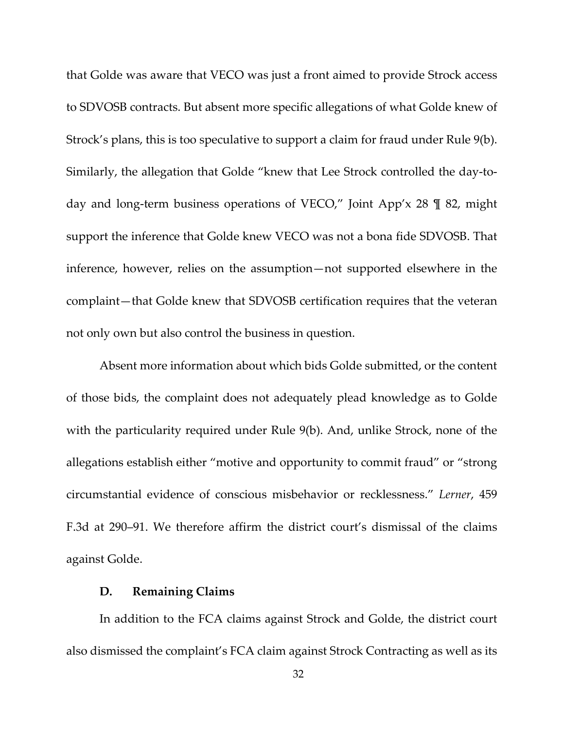that Golde was aware that VECO was just a front aimed to provide Strock access to SDVOSB contracts. But absent more specific allegations of what Golde knew of Strock's plans, this is too speculative to support a claim for fraud under Rule 9(b). Similarly, the allegation that Golde "knew that Lee Strock controlled the day-today and long-term business operations of VECO," Joint App'x 28 ¶ 82, might support the inference that Golde knew VECO was not a bona fide SDVOSB. That inference, however, relies on the assumption—not supported elsewhere in the complaint—that Golde knew that SDVOSB certification requires that the veteran not only own but also control the business in question.

Absent more information about which bids Golde submitted, or the content of those bids, the complaint does not adequately plead knowledge as to Golde with the particularity required under Rule 9(b). And, unlike Strock, none of the allegations establish either "motive and opportunity to commit fraud" or "strong circumstantial evidence of conscious misbehavior or recklessness." *Lerner*, 459 F.3d at 290–91. We therefore affirm the district court's dismissal of the claims against Golde.

### **D. Remaining Claims**

In addition to the FCA claims against Strock and Golde, the district court also dismissed the complaint's FCA claim against Strock Contracting as well as its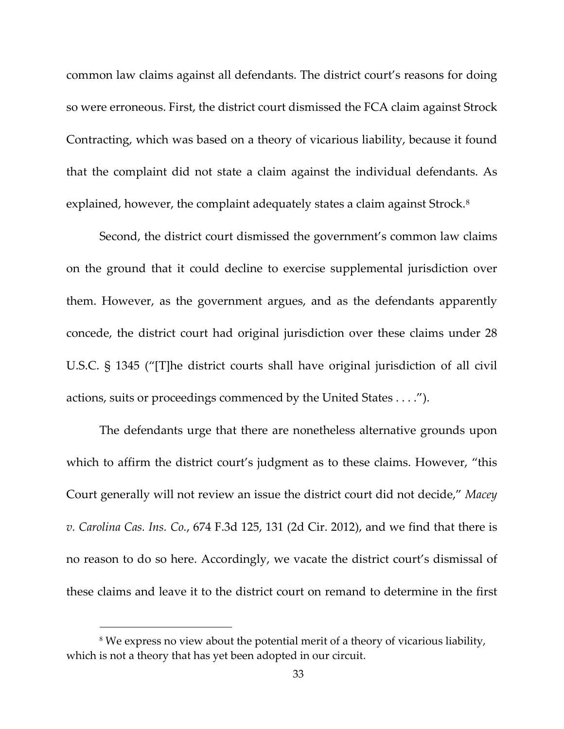common law claims against all defendants. The district court's reasons for doing so were erroneous. First, the district court dismissed the FCA claim against Strock Contracting, which was based on a theory of vicarious liability, because it found that the complaint did not state a claim against the individual defendants. As explained, however, the complaint adequately states a claim against Strock.<sup>[8](#page-32-0)</sup>

Second, the district court dismissed the government's common law claims on the ground that it could decline to exercise supplemental jurisdiction over them. However, as the government argues, and as the defendants apparently concede, the district court had original jurisdiction over these claims under 28 U.S.C. § 1345 ("[T]he district courts shall have original jurisdiction of all civil actions, suits or proceedings commenced by the United States . . . .").

The defendants urge that there are nonetheless alternative grounds upon which to affirm the district court's judgment as to these claims. However, "this Court generally will not review an issue the district court did not decide," *Macey v. Carolina Cas. Ins. Co.*, 674 F.3d 125, 131 (2d Cir. 2012), and we find that there is no reason to do so here. Accordingly, we vacate the district court's dismissal of these claims and leave it to the district court on remand to determine in the first

<span id="page-32-0"></span><sup>8</sup> We express no view about the potential merit of a theory of vicarious liability, which is not a theory that has yet been adopted in our circuit.